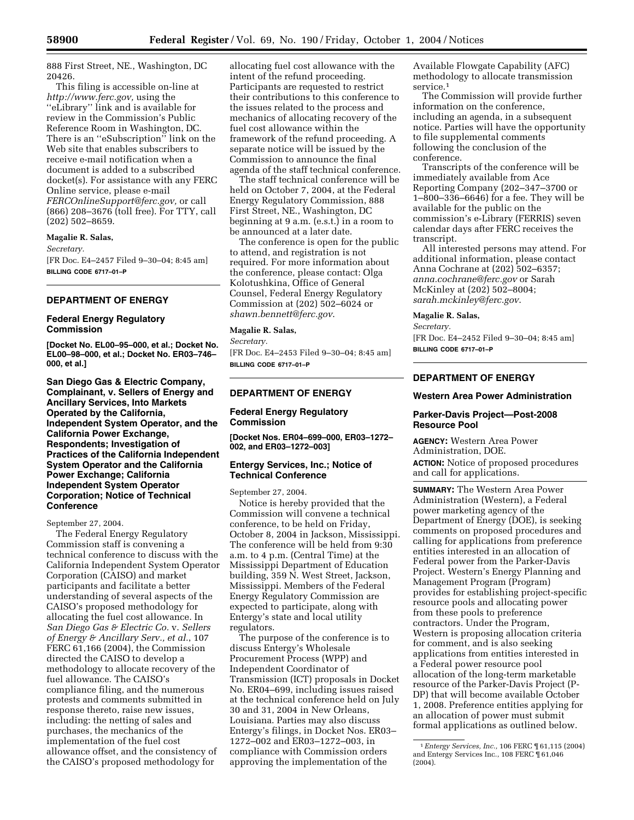888 First Street, NE., Washington, DC 20426.

This filing is accessible on-line at *http://www.ferc.gov,* using the ''eLibrary'' link and is available for review in the Commission's Public Reference Room in Washington, DC. There is an ''eSubscription'' link on the Web site that enables subscribers to receive e-mail notification when a document is added to a subscribed docket(s). For assistance with any FERC Online service, please e-mail *FERCOnlineSupport@ferc.gov,* or call (866) 208–3676 (toll free). For TTY, call (202) 502–8659.

### **Magalie R. Salas,**

*Secretary.*

[FR Doc. E4–2457 Filed 9–30–04; 8:45 am] **BILLING CODE 6717–01–P**

## **DEPARTMENT OF ENERGY**

## **Federal Energy Regulatory Commission**

**[Docket No. EL00–95–000, et al.; Docket No. EL00–98–000, et al.; Docket No. ER03–746– 000, et al.]** 

**San Diego Gas & Electric Company, Complainant, v. Sellers of Energy and Ancillary Services, Into Markets Operated by the California, Independent System Operator, and the California Power Exchange, Respondents; Investigation of Practices of the California Independent System Operator and the California Power Exchange; California Independent System Operator Corporation; Notice of Technical Conference** 

## September 27, 2004.

The Federal Energy Regulatory Commission staff is convening a technical conference to discuss with the California Independent System Operator Corporation (CAISO) and market participants and facilitate a better understanding of several aspects of the CAISO's proposed methodology for allocating the fuel cost allowance. In *San Diego Gas & Electric Co.* v. *Sellers of Energy & Ancillary Serv., et al.*, 107 FERC 61,166 (2004), the Commission directed the CAISO to develop a methodology to allocate recovery of the fuel allowance. The CAISO's compliance filing, and the numerous protests and comments submitted in response thereto, raise new issues, including: the netting of sales and purchases, the mechanics of the implementation of the fuel cost allowance offset, and the consistency of the CAISO's proposed methodology for

allocating fuel cost allowance with the intent of the refund proceeding. Participants are requested to restrict their contributions to this conference to the issues related to the process and mechanics of allocating recovery of the fuel cost allowance within the framework of the refund proceeding. A separate notice will be issued by the Commission to announce the final agenda of the staff technical conference.

The staff technical conference will be held on October 7, 2004, at the Federal Energy Regulatory Commission, 888 First Street, NE., Washington, DC beginning at 9 a.m. (e.s.t.) in a room to be announced at a later date.

The conference is open for the public to attend, and registration is not required. For more information about the conference, please contact: Olga Kolotushkina, Office of General Counsel, Federal Energy Regulatory Commission at (202) 502–6024 or *shawn.bennett@ferc.gov*.

### **Magalie R. Salas,**

*Secretary.* [FR Doc. E4–2453 Filed 9–30–04; 8:45 am] **BILLING CODE 6717–01–P**

# **DEPARTMENT OF ENERGY**

#### **Federal Energy Regulatory Commission**

**[Docket Nos. ER04–699–000, ER03–1272– 002, and ER03–1272–003]** 

## **Entergy Services, Inc.; Notice of Technical Conference**

September 27, 2004.

Notice is hereby provided that the Commission will convene a technical conference, to be held on Friday, October 8, 2004 in Jackson, Mississippi. The conference will be held from 9:30 a.m. to 4 p.m. (Central Time) at the Mississippi Department of Education building, 359 N. West Street, Jackson, Mississippi. Members of the Federal Energy Regulatory Commission are expected to participate, along with Entergy's state and local utility regulators.

The purpose of the conference is to discuss Entergy's Wholesale Procurement Process (WPP) and Independent Coordinator of Transmission (ICT) proposals in Docket No. ER04–699, including issues raised at the technical conference held on July 30 and 31, 2004 in New Orleans, Louisiana. Parties may also discuss Entergy's filings, in Docket Nos. ER03– 1272–002 and ER03–1272–003, in compliance with Commission orders approving the implementation of the

Available Flowgate Capability (AFC) methodology to allocate transmission service.<sup>1</sup>

The Commission will provide further information on the conference, including an agenda, in a subsequent notice. Parties will have the opportunity to file supplemental comments following the conclusion of the conference.

Transcripts of the conference will be immediately available from Ace Reporting Company (202–347–3700 or 1–800–336–6646) for a fee. They will be available for the public on the commission's e-Library (FERRIS) seven calendar days after FERC receives the transcript.

All interested persons may attend. For additional information, please contact Anna Cochrane at (202) 502–6357; *anna.cochrane@ferc.gov* or Sarah McKinley at (202) 502–8004; *sarah.mckinley@ferc.gov*.

#### **Magalie R. Salas,**

*Secretary.*

[FR Doc. E4–2452 Filed 9–30–04; 8:45 am] **BILLING CODE 6717–01–P**

# **DEPARTMENT OF ENERGY**

#### **Western Area Power Administration**

# **Parker-Davis Project—Post-2008 Resource Pool**

**AGENCY:** Western Area Power Administration, DOE. **ACTION:** Notice of proposed procedures and call for applications.

**SUMMARY:** The Western Area Power Administration (Western), a Federal power marketing agency of the Department of Energy (DOE), is seeking comments on proposed procedures and calling for applications from preference entities interested in an allocation of Federal power from the Parker-Davis Project. Western's Energy Planning and Management Program (Program) provides for establishing project-specific resource pools and allocating power from these pools to preference contractors. Under the Program, Western is proposing allocation criteria for comment, and is also seeking applications from entities interested in a Federal power resource pool allocation of the long-term marketable resource of the Parker-Davis Project (P-DP) that will become available October 1, 2008. Preference entities applying for an allocation of power must submit formal applications as outlined below.

<sup>1</sup>*Entergy Services, Inc.,* 106 FERC ¶ 61,115 (2004) and Entergy Services Inc., 108 FERC ¶ 61,046 (2004).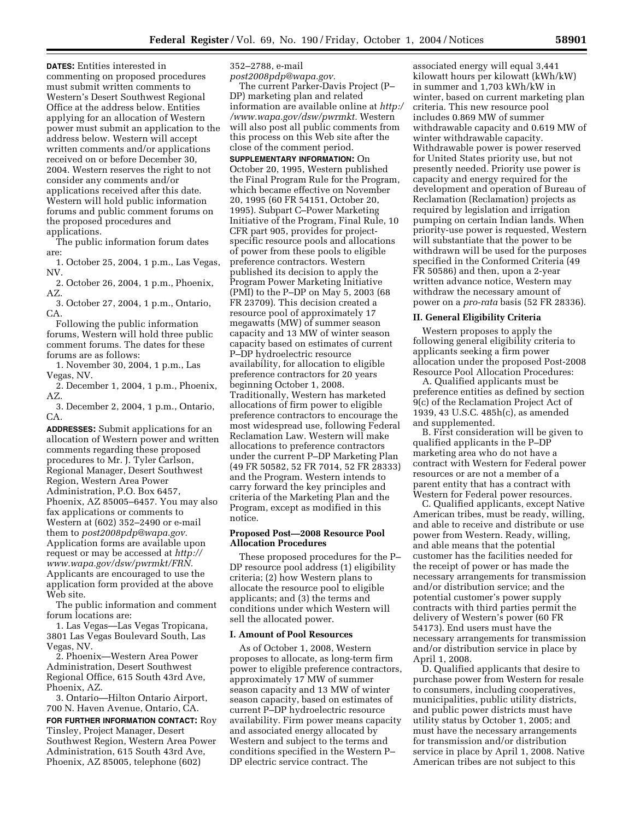**DATES:** Entities interested in commenting on proposed procedures must submit written comments to Western's Desert Southwest Regional Office at the address below. Entities applying for an allocation of Western power must submit an application to the address below. Western will accept written comments and/or applications received on or before December 30, 2004. Western reserves the right to not consider any comments and/or applications received after this date. Western will hold public information forums and public comment forums on the proposed procedures and applications.

The public information forum dates are:

1. October 25, 2004, 1 p.m., Las Vegas, NV.

2. October 26, 2004, 1 p.m., Phoenix, AZ.

3. October 27, 2004, 1 p.m., Ontario, CA.

Following the public information forums, Western will hold three public comment forums. The dates for these forums are as follows:

1. November 30, 2004, 1 p.m., Las Vegas, NV.

2. December 1, 2004, 1 p.m., Phoenix, AZ.

3. December 2, 2004, 1 p.m., Ontario, CA.

**ADDRESSES:** Submit applications for an allocation of Western power and written comments regarding these proposed procedures to Mr. J. Tyler Carlson, Regional Manager, Desert Southwest Region, Western Area Power Administration, P.O. Box 6457, Phoenix, AZ 85005–6457. You may also fax applications or comments to Western at (602) 352–2490 or e-mail them to *post2008pdp@wapa.gov.* Application forms are available upon request or may be accessed at *http:// www.wapa.gov/dsw/pwrmkt/FRN.* Applicants are encouraged to use the application form provided at the above Web site.

The public information and comment forum locations are:

1. Las Vegas—Las Vegas Tropicana, 3801 Las Vegas Boulevard South, Las Vegas, NV.

2. Phoenix—Western Area Power Administration, Desert Southwest Regional Office, 615 South 43rd Ave, Phoenix, AZ.

3. Ontario—Hilton Ontario Airport, 700 N. Haven Avenue, Ontario, CA.

**FOR FURTHER INFORMATION CONTACT:** Roy Tinsley, Project Manager, Desert Southwest Region, Western Area Power Administration, 615 South 43rd Ave, Phoenix, AZ 85005, telephone (602)

352–2788, e-mail

*post2008pdp@wapa.gov.* The current Parker-Davis Project (P– DP) marketing plan and related information are available online at *http:/ /www.wapa.gov/dsw/pwrmkt.* Western will also post all public comments from this process on this Web site after the close of the comment period.

**SUPPLEMENTARY INFORMATION:** On October 20, 1995, Western published the Final Program Rule for the Program, which became effective on November 20, 1995 (60 FR 54151, October 20, 1995). Subpart C–Power Marketing Initiative of the Program, Final Rule, 10 CFR part 905, provides for projectspecific resource pools and allocations of power from these pools to eligible preference contractors. Western published its decision to apply the Program Power Marketing Initiative (PMI) to the P–DP on May 5, 2003 (68 FR 23709). This decision created a resource pool of approximately 17 megawatts (MW) of summer season capacity and 13 MW of winter season capacity based on estimates of current P–DP hydroelectric resource availability, for allocation to eligible preference contractors for 20 years beginning October 1, 2008. Traditionally, Western has marketed allocations of firm power to eligible preference contractors to encourage the most widespread use, following Federal Reclamation Law. Western will make allocations to preference contractors under the current P–DP Marketing Plan (49 FR 50582, 52 FR 7014, 52 FR 28333) and the Program. Western intends to carry forward the key principles and criteria of the Marketing Plan and the Program, except as modified in this notice.

### **Proposed Post—2008 Resource Pool Allocation Procedures**

These proposed procedures for the P– DP resource pool address (1) eligibility criteria; (2) how Western plans to allocate the resource pool to eligible applicants; and (3) the terms and conditions under which Western will sell the allocated power.

### **I. Amount of Pool Resources**

As of October 1, 2008, Western proposes to allocate, as long-term firm power to eligible preference contractors, approximately 17 MW of summer season capacity and 13 MW of winter season capacity, based on estimates of current P–DP hydroelectric resource availability. Firm power means capacity and associated energy allocated by Western and subject to the terms and conditions specified in the Western P– DP electric service contract. The

associated energy will equal 3,441 kilowatt hours per kilowatt (kWh/kW) in summer and 1,703 kWh/kW in winter, based on current marketing plan criteria. This new resource pool includes 0.869 MW of summer withdrawable capacity and 0.619 MW of winter withdrawable capacity. Withdrawable power is power reserved for United States priority use, but not presently needed. Priority use power is capacity and energy required for the development and operation of Bureau of Reclamation (Reclamation) projects as required by legislation and irrigation pumping on certain Indian lands. When priority-use power is requested, Western will substantiate that the power to be withdrawn will be used for the purposes specified in the Conformed Criteria (49 FR 50586) and then, upon a 2-year written advance notice, Western may withdraw the necessary amount of power on a *pro-rata* basis (52 FR 28336).

## **II. General Eligibility Criteria**

Western proposes to apply the following general eligibility criteria to applicants seeking a firm power allocation under the proposed Post-2008 Resource Pool Allocation Procedures:

A. Qualified applicants must be preference entities as defined by section 9(c) of the Reclamation Project Act of 1939, 43 U.S.C. 485h(c), as amended and supplemented.

B. First consideration will be given to qualified applicants in the P–DP marketing area who do not have a contract with Western for Federal power resources or are not a member of a parent entity that has a contract with Western for Federal power resources.

C. Qualified applicants, except Native American tribes, must be ready, willing, and able to receive and distribute or use power from Western. Ready, willing, and able means that the potential customer has the facilities needed for the receipt of power or has made the necessary arrangements for transmission and/or distribution service; and the potential customer's power supply contracts with third parties permit the delivery of Western's power (60 FR 54173). End users must have the necessary arrangements for transmission and/or distribution service in place by April 1, 2008.

D. Qualified applicants that desire to purchase power from Western for resale to consumers, including cooperatives, municipalities, public utility districts, and public power districts must have utility status by October 1, 2005; and must have the necessary arrangements for transmission and/or distribution service in place by April 1, 2008. Native American tribes are not subject to this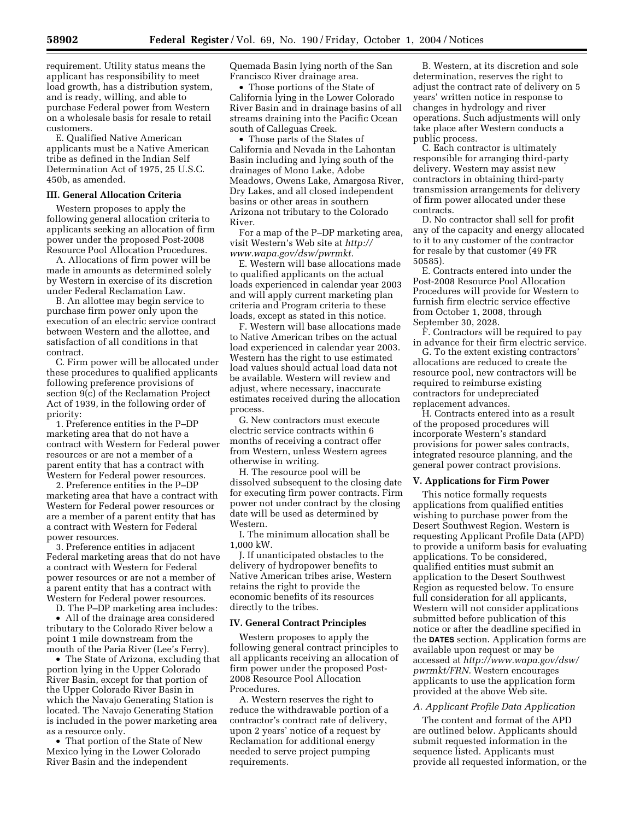requirement. Utility status means the applicant has responsibility to meet load growth, has a distribution system, and is ready, willing, and able to purchase Federal power from Western on a wholesale basis for resale to retail customers.

E. Qualified Native American applicants must be a Native American tribe as defined in the Indian Self Determination Act of 1975, 25 U.S.C. 450b, as amended.

# **III. General Allocation Criteria**

Western proposes to apply the following general allocation criteria to applicants seeking an allocation of firm power under the proposed Post-2008 Resource Pool Allocation Procedures.

A. Allocations of firm power will be made in amounts as determined solely by Western in exercise of its discretion under Federal Reclamation Law.

B. An allottee may begin service to purchase firm power only upon the execution of an electric service contract between Western and the allottee, and satisfaction of all conditions in that contract.

C. Firm power will be allocated under these procedures to qualified applicants following preference provisions of section 9(c) of the Reclamation Project Act of 1939, in the following order of priority:

1. Preference entities in the P–DP marketing area that do not have a contract with Western for Federal power resources or are not a member of a parent entity that has a contract with Western for Federal power resources.

2. Preference entities in the P–DP marketing area that have a contract with Western for Federal power resources or are a member of a parent entity that has a contract with Western for Federal power resources.

3. Preference entities in adjacent Federal marketing areas that do not have a contract with Western for Federal power resources or are not a member of a parent entity that has a contract with Western for Federal power resources.

D. The P–DP marketing area includes:

• All of the drainage area considered tributary to the Colorado River below a point 1 mile downstream from the mouth of the Paria River (Lee's Ferry).

• The State of Arizona, excluding that portion lying in the Upper Colorado River Basin, except for that portion of the Upper Colorado River Basin in which the Navajo Generating Station is located. The Navajo Generating Station is included in the power marketing area as a resource only.

• That portion of the State of New Mexico lying in the Lower Colorado River Basin and the independent

Quemada Basin lying north of the San Francisco River drainage area.

• Those portions of the State of California lying in the Lower Colorado River Basin and in drainage basins of all streams draining into the Pacific Ocean south of Calleguas Creek.

• Those parts of the States of California and Nevada in the Lahontan Basin including and lying south of the drainages of Mono Lake, Adobe Meadows, Owens Lake, Amargosa River, Dry Lakes, and all closed independent basins or other areas in southern Arizona not tributary to the Colorado River.

For a map of the P–DP marketing area, visit Western's Web site at *http:// www.wapa.gov/dsw/pwrmkt.*

E. Western will base allocations made to qualified applicants on the actual loads experienced in calendar year 2003 and will apply current marketing plan criteria and Program criteria to these loads, except as stated in this notice.

F. Western will base allocations made to Native American tribes on the actual load experienced in calendar year 2003. Western has the right to use estimated load values should actual load data not be available. Western will review and adjust, where necessary, inaccurate estimates received during the allocation process.

G. New contractors must execute electric service contracts within 6 months of receiving a contract offer from Western, unless Western agrees otherwise in writing.

H. The resource pool will be dissolved subsequent to the closing date for executing firm power contracts. Firm power not under contract by the closing date will be used as determined by Western.

I. The minimum allocation shall be 1,000 kW.

J. If unanticipated obstacles to the delivery of hydropower benefits to Native American tribes arise, Western retains the right to provide the economic benefits of its resources directly to the tribes.

#### **IV. General Contract Principles**

Western proposes to apply the following general contract principles to all applicants receiving an allocation of firm power under the proposed Post-2008 Resource Pool Allocation Procedures.

A. Western reserves the right to reduce the withdrawable portion of a contractor's contract rate of delivery, upon 2 years' notice of a request by Reclamation for additional energy needed to serve project pumping requirements.

B. Western, at its discretion and sole determination, reserves the right to adjust the contract rate of delivery on 5 years' written notice in response to changes in hydrology and river operations. Such adjustments will only take place after Western conducts a public process.

C. Each contractor is ultimately responsible for arranging third-party delivery. Western may assist new contractors in obtaining third-party transmission arrangements for delivery of firm power allocated under these contracts.

D. No contractor shall sell for profit any of the capacity and energy allocated to it to any customer of the contractor for resale by that customer (49 FR 50585).

E. Contracts entered into under the Post-2008 Resource Pool Allocation Procedures will provide for Western to furnish firm electric service effective from October 1, 2008, through September 30, 2028.

F. Contractors will be required to pay in advance for their firm electric service.

G. To the extent existing contractors' allocations are reduced to create the resource pool, new contractors will be required to reimburse existing contractors for undepreciated replacement advances.

H. Contracts entered into as a result of the proposed procedures will incorporate Western's standard provisions for power sales contracts, integrated resource planning, and the general power contract provisions.

#### **V. Applications for Firm Power**

This notice formally requests applications from qualified entities wishing to purchase power from the Desert Southwest Region. Western is requesting Applicant Profile Data (APD) to provide a uniform basis for evaluating applications. To be considered, qualified entities must submit an application to the Desert Southwest Region as requested below. To ensure full consideration for all applicants, Western will not consider applications submitted before publication of this notice or after the deadline specified in the **DATES** section. Application forms are available upon request or may be accessed at *http://www.wapa.gov/dsw/ pwrmkt/FRN.* Western encourages applicants to use the application form provided at the above Web site.

#### *A. Applicant Profile Data Application*

The content and format of the APD are outlined below. Applicants should submit requested information in the sequence listed. Applicants must provide all requested information, or the